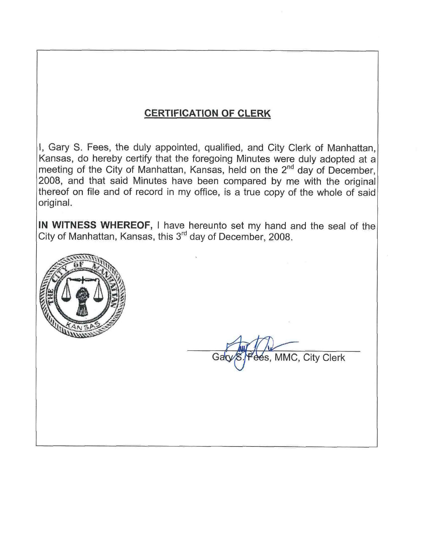# **CERTIFICATION OF CLERK**

I, Gary S. Fees, the duly appointed, qualified, and City Clerk of Manhattan. Kansas, do hereby certify that the foregoing Minutes were duly adopted at a meeting of the City of Manhattan, Kansas, held on the 2<sup>nd</sup> day of December, 2008, and that said Minutes have been compared by me with the original thereof on file and of record in my office, is a true copy of the whole of said original.

IN WITNESS WHEREOF, I have hereunto set my hand and the seal of the City of Manhattan, Kansas, this 3<sup>rd</sup> day of December, 2008.



s, MMC, City Clerk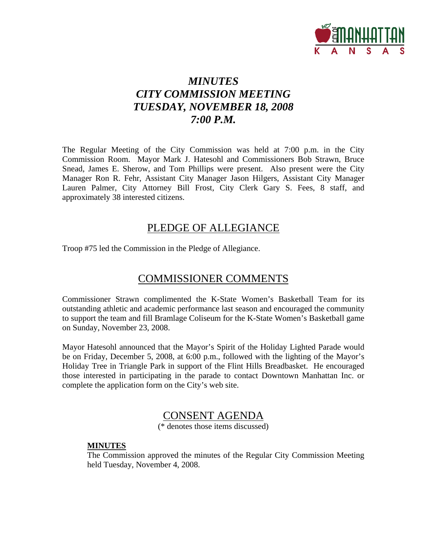

# *MINUTES CITY COMMISSION MEETING TUESDAY, NOVEMBER 18, 2008 7:00 P.M.*

The Regular Meeting of the City Commission was held at 7:00 p.m. in the City Commission Room. Mayor Mark J. Hatesohl and Commissioners Bob Strawn, Bruce Snead, James E. Sherow, and Tom Phillips were present. Also present were the City Manager Ron R. Fehr, Assistant City Manager Jason Hilgers, Assistant City Manager Lauren Palmer, City Attorney Bill Frost, City Clerk Gary S. Fees, 8 staff, and approximately 38 interested citizens.

## PLEDGE OF ALLEGIANCE

Troop #75 led the Commission in the Pledge of Allegiance.

## COMMISSIONER COMMENTS

Commissioner Strawn complimented the K-State Women's Basketball Team for its outstanding athletic and academic performance last season and encouraged the community to support the team and fill Bramlage Coliseum for the K-State Women's Basketball game on Sunday, November 23, 2008.

Mayor Hatesohl announced that the Mayor's Spirit of the Holiday Lighted Parade would be on Friday, December 5, 2008, at 6:00 p.m., followed with the lighting of the Mayor's Holiday Tree in Triangle Park in support of the Flint Hills Breadbasket. He encouraged those interested in participating in the parade to contact Downtown Manhattan Inc. or complete the application form on the City's web site.

## CONSENT AGENDA

(\* denotes those items discussed)

### **MINUTES**

The Commission approved the minutes of the Regular City Commission Meeting held Tuesday, November 4, 2008.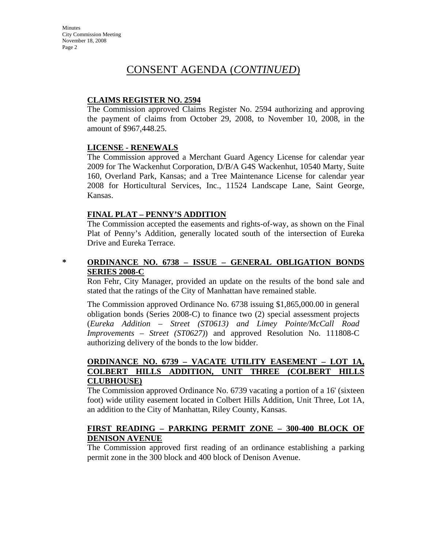## CONSENT AGENDA (*CONTINUED*)

## **CLAIMS REGISTER NO. 2594**

The Commission approved Claims Register No. 2594 authorizing and approving the payment of claims from October 29, 2008, to November 10, 2008, in the amount of \$967,448.25.

### **LICENSE - RENEWALS**

The Commission approved a Merchant Guard Agency License for calendar year 2009 for The Wackenhut Corporation, D/B/A G4S Wackenhut, 10540 Marty, Suite 160, Overland Park, Kansas; and a Tree Maintenance License for calendar year 2008 for Horticultural Services, Inc., 11524 Landscape Lane, Saint George, Kansas.

## **FINAL PLAT – PENNY'S ADDITION**

The Commission accepted the easements and rights-of-way, as shown on the Final Plat of Penny's Addition, generally located south of the intersection of Eureka Drive and Eureka Terrace.

## **\* ORDINANCE NO. 6738 – ISSUE – GENERAL OBLIGATION BONDS SERIES 2008-C**

Ron Fehr, City Manager, provided an update on the results of the bond sale and stated that the ratings of the City of Manhattan have remained stable.

The Commission approved Ordinance No. 6738 issuing \$1,865,000.00 in general obligation bonds (Series 2008-C) to finance two (2) special assessment projects (*Eureka Addition – Street (ST0613) and Limey Pointe/McCall Road Improvements – Street (ST0627)*) and approved Resolution No. 111808-C authorizing delivery of the bonds to the low bidder.

## **ORDINANCE NO. 6739 – VACATE UTILITY EASEMENT – LOT 1A, COLBERT HILLS ADDITION, UNIT THREE (COLBERT HILLS CLUBHOUSE)**

The Commission approved Ordinance No. 6739 vacating a portion of a 16' (sixteen foot) wide utility easement located in Colbert Hills Addition, Unit Three, Lot 1A, an addition to the City of Manhattan, Riley County, Kansas.

## **FIRST READING – PARKING PERMIT ZONE – 300-400 BLOCK OF DENISON AVENUE**

The Commission approved first reading of an ordinance establishing a parking permit zone in the 300 block and 400 block of Denison Avenue.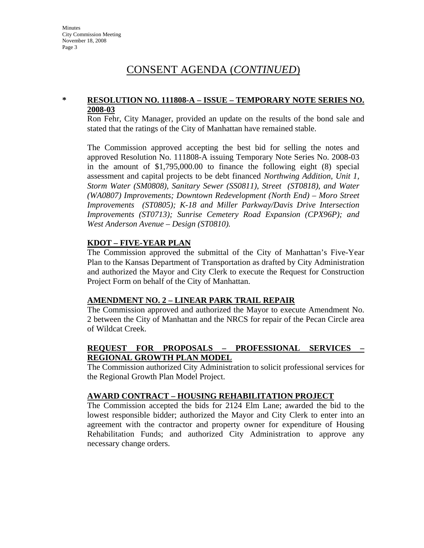## CONSENT AGENDA (*CONTINUED*)

### **\* RESOLUTION NO. 111808-A – ISSUE – TEMPORARY NOTE SERIES NO. 2008-03**

Ron Fehr, City Manager, provided an update on the results of the bond sale and stated that the ratings of the City of Manhattan have remained stable.

The Commission approved accepting the best bid for selling the notes and approved Resolution No. 111808-A issuing Temporary Note Series No. 2008-03 in the amount of \$1,795,000.00 to finance the following eight (8) special assessment and capital projects to be debt financed *Northwing Addition, Unit 1, Storm Water (SM0808), Sanitary Sewer (SS0811), Street (ST0818), and Water (WA0807) Improvements; Downtown Redevelopment (North End) – Moro Street Improvements (ST0805); K-18 and Miller Parkway/Davis Drive Intersection Improvements (ST0713); Sunrise Cemetery Road Expansion (CPX96P); and West Anderson Avenue – Design (ST0810).*

### **KDOT – FIVE-YEAR PLAN**

The Commission approved the submittal of the City of Manhattan's Five-Year Plan to the Kansas Department of Transportation as drafted by City Administration and authorized the Mayor and City Clerk to execute the Request for Construction Project Form on behalf of the City of Manhattan.

### **AMENDMENT NO. 2 – LINEAR PARK TRAIL REPAIR**

The Commission approved and authorized the Mayor to execute Amendment No. 2 between the City of Manhattan and the NRCS for repair of the Pecan Circle area of Wildcat Creek.

## **REQUEST FOR PROPOSALS – PROFESSIONAL SERVICES – REGIONAL GROWTH PLAN MODEL**

The Commission authorized City Administration to solicit professional services for the Regional Growth Plan Model Project.

### **AWARD CONTRACT – HOUSING REHABILITATION PROJECT**

The Commission accepted the bids for 2124 Elm Lane; awarded the bid to the lowest responsible bidder; authorized the Mayor and City Clerk to enter into an agreement with the contractor and property owner for expenditure of Housing Rehabilitation Funds; and authorized City Administration to approve any necessary change orders.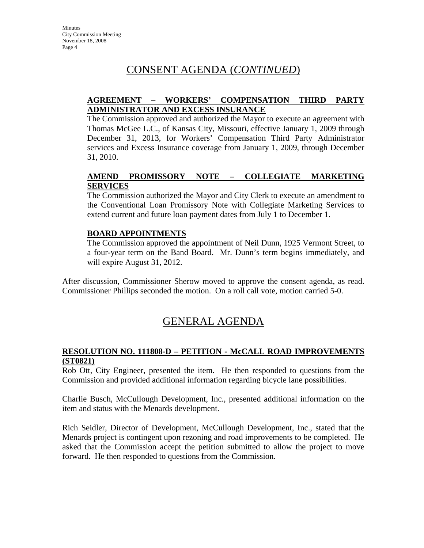# CONSENT AGENDA (*CONTINUED*)

## **AGREEMENT – WORKERS' COMPENSATION THIRD PARTY ADMINISTRATOR AND EXCESS INSURANCE**

The Commission approved and authorized the Mayor to execute an agreement with Thomas McGee L.C., of Kansas City, Missouri, effective January 1, 2009 through December 31, 2013, for Workers' Compensation Third Party Administrator services and Excess Insurance coverage from January 1, 2009, through December 31, 2010.

## **AMEND PROMISSORY NOTE – COLLEGIATE MARKETING SERVICES**

The Commission authorized the Mayor and City Clerk to execute an amendment to the Conventional Loan Promissory Note with Collegiate Marketing Services to extend current and future loan payment dates from July 1 to December 1.

## **BOARD APPOINTMENTS**

The Commission approved the appointment of Neil Dunn, 1925 Vermont Street, to a four-year term on the Band Board. Mr. Dunn's term begins immediately, and will expire August 31, 2012.

After discussion, Commissioner Sherow moved to approve the consent agenda, as read. Commissioner Phillips seconded the motion. On a roll call vote, motion carried 5-0.

# GENERAL AGENDA

## **RESOLUTION NO. 111808-D – PETITION - McCALL ROAD IMPROVEMENTS (ST0821)**

Rob Ott, City Engineer, presented the item. He then responded to questions from the Commission and provided additional information regarding bicycle lane possibilities.

Charlie Busch, McCullough Development, Inc., presented additional information on the item and status with the Menards development.

Rich Seidler, Director of Development, McCullough Development, Inc., stated that the Menards project is contingent upon rezoning and road improvements to be completed. He asked that the Commission accept the petition submitted to allow the project to move forward. He then responded to questions from the Commission.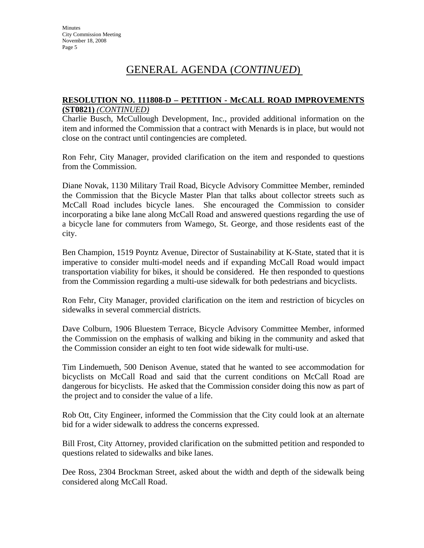### **RESOLUTION NO. 111808-D – PETITION - McCALL ROAD IMPROVEMENTS (ST0821)** *(CONTINUED)*

Charlie Busch, McCullough Development, Inc., provided additional information on the item and informed the Commission that a contract with Menards is in place, but would not close on the contract until contingencies are completed.

Ron Fehr, City Manager, provided clarification on the item and responded to questions from the Commission.

Diane Novak, 1130 Military Trail Road, Bicycle Advisory Committee Member, reminded the Commission that the Bicycle Master Plan that talks about collector streets such as McCall Road includes bicycle lanes. She encouraged the Commission to consider incorporating a bike lane along McCall Road and answered questions regarding the use of a bicycle lane for commuters from Wamego, St. George, and those residents east of the city.

Ben Champion, 1519 Poyntz Avenue, Director of Sustainability at K-State, stated that it is imperative to consider multi-model needs and if expanding McCall Road would impact transportation viability for bikes, it should be considered. He then responded to questions from the Commission regarding a multi-use sidewalk for both pedestrians and bicyclists.

Ron Fehr, City Manager, provided clarification on the item and restriction of bicycles on sidewalks in several commercial districts.

Dave Colburn, 1906 Bluestem Terrace, Bicycle Advisory Committee Member, informed the Commission on the emphasis of walking and biking in the community and asked that the Commission consider an eight to ten foot wide sidewalk for multi-use.

Tim Lindemueth, 500 Denison Avenue, stated that he wanted to see accommodation for bicyclists on McCall Road and said that the current conditions on McCall Road are dangerous for bicyclists. He asked that the Commission consider doing this now as part of the project and to consider the value of a life.

Rob Ott, City Engineer, informed the Commission that the City could look at an alternate bid for a wider sidewalk to address the concerns expressed.

Bill Frost, City Attorney, provided clarification on the submitted petition and responded to questions related to sidewalks and bike lanes.

Dee Ross, 2304 Brockman Street, asked about the width and depth of the sidewalk being considered along McCall Road.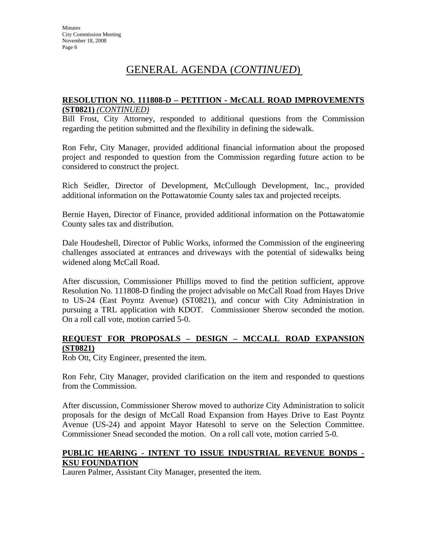### **RESOLUTION NO. 111808-D – PETITION - McCALL ROAD IMPROVEMENTS (ST0821)** *(CONTINUED)*

Bill Frost, City Attorney, responded to additional questions from the Commission regarding the petition submitted and the flexibility in defining the sidewalk.

Ron Fehr, City Manager, provided additional financial information about the proposed project and responded to question from the Commission regarding future action to be considered to construct the project.

Rich Seidler, Director of Development, McCullough Development, Inc., provided additional information on the Pottawatomie County sales tax and projected receipts.

Bernie Hayen, Director of Finance, provided additional information on the Pottawatomie County sales tax and distribution.

Dale Houdeshell, Director of Public Works, informed the Commission of the engineering challenges associated at entrances and driveways with the potential of sidewalks being widened along McCall Road.

After discussion, Commissioner Phillips moved to find the petition sufficient, approve Resolution No. 111808-D finding the project advisable on McCall Road from Hayes Drive to US-24 (East Poyntz Avenue) (ST0821), and concur with City Administration in pursuing a TRL application with KDOT. Commissioner Sherow seconded the motion. On a roll call vote, motion carried 5-0.

## **REQUEST FOR PROPOSALS – DESIGN – MCCALL ROAD EXPANSION (ST0821)**

Rob Ott, City Engineer, presented the item.

Ron Fehr, City Manager, provided clarification on the item and responded to questions from the Commission.

After discussion, Commissioner Sherow moved to authorize City Administration to solicit proposals for the design of McCall Road Expansion from Hayes Drive to East Poyntz Avenue (US-24) and appoint Mayor Hatesohl to serve on the Selection Committee. Commissioner Snead seconded the motion. On a roll call vote, motion carried 5-0.

## **PUBLIC HEARING - INTENT TO ISSUE INDUSTRIAL REVENUE BONDS - KSU FOUNDATION**

Lauren Palmer, Assistant City Manager, presented the item.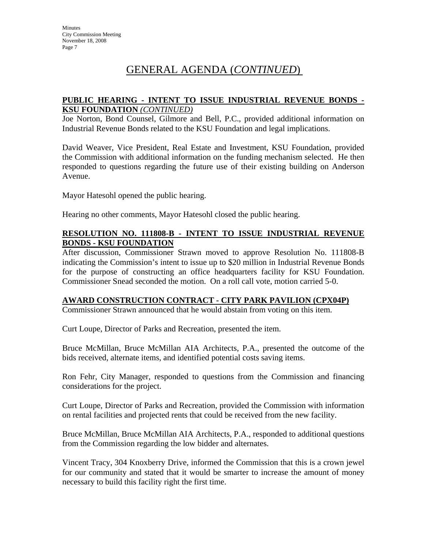## **PUBLIC HEARING - INTENT TO ISSUE INDUSTRIAL REVENUE BONDS - KSU FOUNDATION** *(CONTINUED)*

Joe Norton, Bond Counsel, Gilmore and Bell, P.C., provided additional information on Industrial Revenue Bonds related to the KSU Foundation and legal implications.

David Weaver, Vice President, Real Estate and Investment, KSU Foundation, provided the Commission with additional information on the funding mechanism selected. He then responded to questions regarding the future use of their existing building on Anderson Avenue.

Mayor Hatesohl opened the public hearing.

Hearing no other comments, Mayor Hatesohl closed the public hearing.

## **RESOLUTION NO. 111808-B - INTENT TO ISSUE INDUSTRIAL REVENUE BONDS - KSU FOUNDATION**

After discussion, Commissioner Strawn moved to approve Resolution No. 111808-B indicating the Commission's intent to issue up to \$20 million in Industrial Revenue Bonds for the purpose of constructing an office headquarters facility for KSU Foundation. Commissioner Snead seconded the motion. On a roll call vote, motion carried 5-0.

### **AWARD CONSTRUCTION CONTRACT - CITY PARK PAVILION (CPX04P)**

Commissioner Strawn announced that he would abstain from voting on this item.

Curt Loupe, Director of Parks and Recreation, presented the item.

Bruce McMillan, Bruce McMillan AIA Architects, P.A., presented the outcome of the bids received, alternate items, and identified potential costs saving items.

Ron Fehr, City Manager, responded to questions from the Commission and financing considerations for the project.

Curt Loupe, Director of Parks and Recreation, provided the Commission with information on rental facilities and projected rents that could be received from the new facility.

Bruce McMillan, Bruce McMillan AIA Architects, P.A., responded to additional questions from the Commission regarding the low bidder and alternates.

Vincent Tracy, 304 Knoxberry Drive, informed the Commission that this is a crown jewel for our community and stated that it would be smarter to increase the amount of money necessary to build this facility right the first time.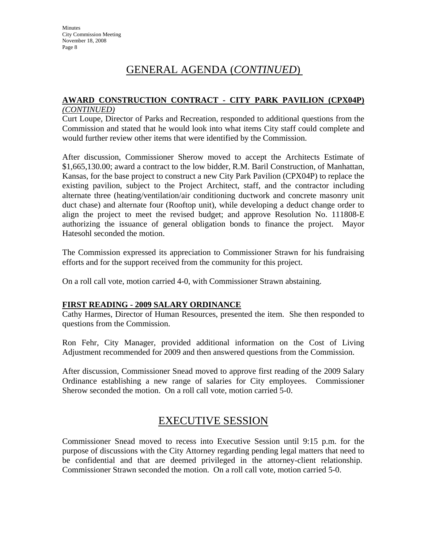#### **AWARD CONSTRUCTION CONTRACT - CITY PARK PAVILION (CPX04P)**  *(CONTINUED)*

Curt Loupe, Director of Parks and Recreation, responded to additional questions from the Commission and stated that he would look into what items City staff could complete and would further review other items that were identified by the Commission.

After discussion, Commissioner Sherow moved to accept the Architects Estimate of \$1,665,130.00; award a contract to the low bidder, R.M. Baril Construction, of Manhattan, Kansas, for the base project to construct a new City Park Pavilion (CPX04P) to replace the existing pavilion, subject to the Project Architect, staff, and the contractor including alternate three (heating/ventilation/air conditioning ductwork and concrete masonry unit duct chase) and alternate four (Rooftop unit), while developing a deduct change order to align the project to meet the revised budget; and approve Resolution No. 111808-E authorizing the issuance of general obligation bonds to finance the project. Mayor Hatesohl seconded the motion.

The Commission expressed its appreciation to Commissioner Strawn for his fundraising efforts and for the support received from the community for this project.

On a roll call vote, motion carried 4-0, with Commissioner Strawn abstaining.

## **FIRST READING - 2009 SALARY ORDINANCE**

Cathy Harmes, Director of Human Resources, presented the item. She then responded to questions from the Commission.

Ron Fehr, City Manager, provided additional information on the Cost of Living Adjustment recommended for 2009 and then answered questions from the Commission.

After discussion, Commissioner Snead moved to approve first reading of the 2009 Salary Ordinance establishing a new range of salaries for City employees. Commissioner Sherow seconded the motion. On a roll call vote, motion carried 5-0.

## EXECUTIVE SESSION

Commissioner Snead moved to recess into Executive Session until 9:15 p.m. for the purpose of discussions with the City Attorney regarding pending legal matters that need to be confidential and that are deemed privileged in the attorney-client relationship. Commissioner Strawn seconded the motion. On a roll call vote, motion carried 5-0.